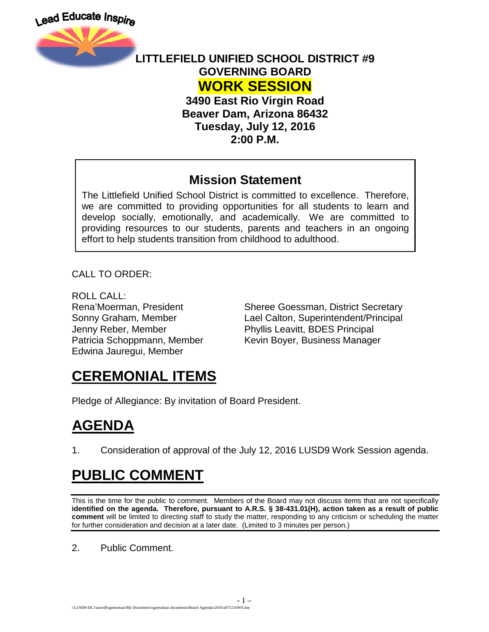



#### **LITTLEFIELD UNIFIED SCHOOL DISTRICT #9 GOVERNING BOARD WORK SESSION**

**3490 East Rio Virgin Road Beaver Dam, Arizona 86432 Tuesday, July 12, 2016 2:00 P.M.**

#### **Mission Statement**

The Littlefield Unified School District is committed to excellence. Therefore, we are committed to providing opportunities for all students to learn and develop socially, emotionally, and academically. We are committed to providing resources to our students, parents and teachers in an ongoing effort to help students transition from childhood to adulthood.

CALL TO ORDER:

ROLL CALL: Jenny Reber, Member Phyllis Leavitt, BDES Principal Edwina Jauregui, Member

Rena'Moerman, President Sheree Goessman, District Secretary Sonny Graham, Member Lael Calton, Superintendent/Principal Patricia Schoppmann, Member Kevin Boyer, Business Manager

## **CEREMONIAL ITEMS**

Pledge of Allegiance: By invitation of Board President.

# **AGENDA**

1. Consideration of approval of the July 12, 2016 LUSD9 Work Session agenda.

## **PUBLIC COMMENT**

This is the time for the public to comment. Members of the Board may not discuss items that are not specifically **identified on the agenda. Therefore, pursuant to A.R.S. § 38-431.01(H), action taken as a result of public comment** will be limited to directing staff to study the matter, responding to any criticism or scheduling the matter for further consideration and decision at a later date. (Limited to 3 minutes per person.)

2. Public Comment.